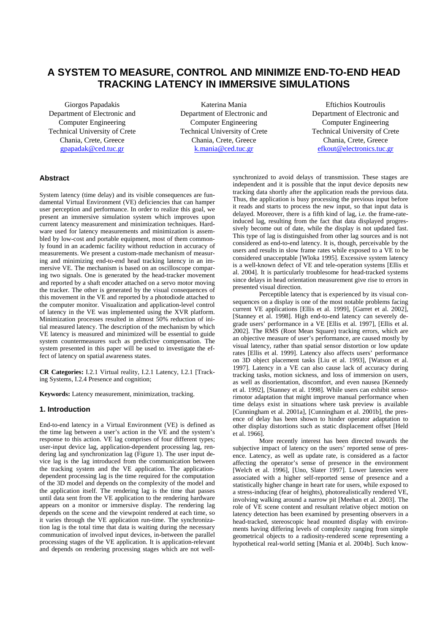# **A SYSTEM TO MEASURE, CONTROL AND MINIMIZE END-TO-END HEAD TRACKING LATENCY IN IMMERSIVE SIMULATIONS**

Giorgos Papadakis Department of Electronic and Computer Engineering Technical University of Crete Chania, Crete, Greece gpapadak@ced.tuc.gr

Katerina Mania Department of Electronic and Computer Engineering Technical University of Crete Chania, Crete, Greece k.mania@ced.tuc.gr

Eftichios Koutroulis Department of Electronic and Computer Engineering Technical University of Crete Chania, Crete, Greece efkout@electronics.tuc.gr

## **Abstract**

System latency (time delay) and its visible consequences are fundamental Virtual Environment (VE) deficiencies that can hamper user perception and performance. In order to realize this goal, we present an immersive simulation system which improves upon current latency measurement and minimization techniques. Hardware used for latency measurements and minimization is assembled by low-cost and portable equipment, most of them commonly found in an academic facility without reduction in accuracy of measurements. We present a custom-made mechanism of measuring and minimizing end-to-end head tracking latency in an immersive VE. The mechanism is based on an oscilloscope comparing two signals. One is generated by the head-tracker movement and reported by a shaft encoder attached on a servo motor moving the tracker. The other is generated by the visual consequences of this movement in the VE and reported by a photodiode attached to the computer monitor. Visualization and application-level control of latency in the VE was implemented using the XVR platform. Minimization processes resulted in almost 50% reduction of initial measured latency. The description of the mechanism by which VE latency is measured and minimized will be essential to guide system countermeasures such as predictive compensation. The system presented in this paper will be used to investigate the effect of latency on spatial awareness states.

**CR Categories:** I.2.1 Virtual reality, I.2.1 Latency, I.2.1 [Tracking Systems, I.2.4 Presence and cognition;

**Keywords:** Latency measurement, minimization, tracking.

#### **1. Introduction**

End-to-end latency in a Virtual Environment (VE) is defined as the time lag between a user's action in the VE and the system's response to this action. VE lag comprises of four different types; user-input device lag, application-dependent processing lag, rendering lag and synchronization lag (Figure 1). The user input device lag is the lag introduced from the communication between the tracking system and the VE application. The applicationdependent processing lag is the time required for the computation of the 3D model and depends on the complexity of the model and the application itself. The rendering lag is the time that passes until data sent from the VE application to the rendering hardware appears on a monitor or immersive display. The rendering lag depends on the scene and the viewpoint rendered at each time, so it varies through the VE application run-time. The synchronization lag is the total time that data is waiting during the necessary communication of involved input devices, in-between the parallel processing stages of the VE application. It is application-relevant and depends on rendering processing stages which are not well-

synchronized to avoid delays of transmission. These stages are independent and it is possible that the input device deposits new tracking data shortly after the application reads the previous data. Thus, the application is busy processing the previous input before it reads and starts to process the new input, so that input data is delayed. Moreover, there is a fifth kind of lag, i.e. the frame-rateinduced lag, resulting from the fact that data displayed progressively become out of date, while the display is not updated fast. This type of lag is distinguished from other lag sources and is not considered as end-to-end latency. It is, though, perceivable by the users and results in slow frame rates while exposed to a VE to be considered unacceptable [Wloka 1995]. Excessive system latency is a well-known defect of VE and tele-operation systems [Ellis et al. 2004]. It is particularly troublesome for head-tracked systems since delays in head orientation measurement give rise to errors in presented visual direction.

Perceptible latency that is experienced by its visual consequences on a display is one of the most notable problems facing current VE applications [Ellis et al. 1999], [Garret et al. 2002], [Stanney et al. 1998]. High end-to-end latency can severely degrade users' performance in a VE [Ellis et al. 1997], [Ellis et al. 2002]. The RMS (Root Mean Square) tracking errors, which are an objective measure of user's performance, are caused mostly by visual latency, rather than spatial sensor distortion or low update rates [Ellis et al. 1999]. Latency also affects users' performance on 3D object placement tasks [Liu et al. 1993], [Watson et al. 1997]. Latency in a VE can also cause lack of accuracy during tracking tasks, motion sickness, and loss of immersion on users, as well as disorientation, discomfort, and even nausea [Kennedy et al. 1992], [Stanney et al. 1998]. While users can exhibit sensorimotor adaptation that might improve manual performance when time delays exist in situations where task preview is available [Cunningham et al. 2001a], [Cunningham et al. 2001b], the presence of delay has been shown to hinder operator adaptation to other display distortions such as static displacement offset [Held et al. 1966].

More recently interest has been directed towards the subjective impact of latency on the users' reported sense of presence. Latency, as well as update rate, is considered as a factor affecting the operator's sense of presence in the environment [Welch et al. 1996], [Uno, Slater 1997]. Lower latencies were associated with a higher self-reported sense of presence and a statistically higher change in heart rate for users, while exposed to a stress-inducing (fear of heights), photorealistically rendered VE, involving walking around a narrow pit [Meehan et al. 2003]. The role of VE scene content and resultant relative object motion on latency detection has been examined by presenting observers in a head-tracked, stereoscopic head mounted display with environments having differing levels of complexity ranging from simple geometrical objects to a radiosity-rendered scene representing a hypothetical real-world setting [Mania et al. 2004b]. Such know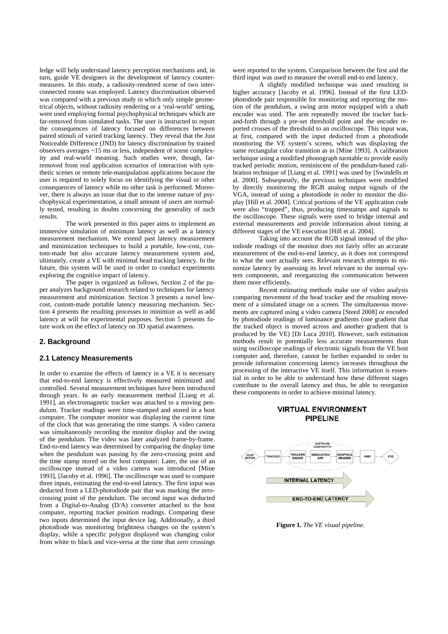ledge will help understand latency perception mechanisms and, in turn, guide VE designers in the development of latency countermeasures. In this study, a radiosity-rendered scene of two interconnected rooms was employed. Latency discrimination observed was compared with a previous study in which only simple geometrical objects, without radiosity rendering or a 'real-world' setting, were used employing formal psychophysical techniques which are far-removed from simulated tasks. The user is instructed to report the consequences of latency focused on differences between paired stimuli of varied tracking latency. They reveal that the Just Noticeable Difference (JND) for latency discrimination by trained observers averages ~15 ms or less, independent of scene complexity and real-world meaning. Such studies were, though, farremoved from real application scenarios of interaction with synthetic scenes or remote tele-manipulation applications because the user is required to solely focus on identifying the visual or other consequences of latency while no other task is performed. Moreover, there is always an issue that due to the intense nature of psychophysical experimentation, a small amount of users are normally tested, resulting in doubts concerning the generality of such results.

The work presented in this paper aims to implement an immersive simulation of minimum latency as well as a latency measurement mechanism. We extend past latency measurement and minimization techniques to build a portable, low-cost, custom-made but also accurate latency measurement system and, ultimately, create a VE with minimal head tracking latency. In the future, this system will be used in order to conduct experiments exploring the cognitive impact of latency.

The paper is organized as follows. Section 2 of the paper analyzes background research related to techniques for latency measurement and minimization. Section 3 presents a novel lowcost, custom-made portable latency measuring mechanism. Section 4 presents the resulting processes to minimize as well as add latency at will for experimental purposes. Section 5 presents future work on the effect of latency on 3D spatial awareness.

### **2. Background**

#### **2.1 Latency Measurements**

In order to examine the effects of latency in a VE it is necessary that end-to-end latency is effectively measured minimized and controlled. Several measurement techniques have been introduced through years. In an early measurement method [Liang et al. 1991], an electromagnetic tracker was attached to a moving pendulum. Tracker readings were time-stamped and stored in a host computer. The computer monitor was displaying the current time of the clock that was generating the time stamps. A video camera was simultaneously recording the monitor display and the swing of the pendulum. The video was later analyzed frame-by-frame. End-to-end latency was determined by comparing the display time when the pendulum was passing by the zero-crossing point and the time stamp stored on the host computer. Later, the use of an oscilloscope instead of a video camera was introduced [Mine 1993], [Jacoby et al. 1996]. The oscilloscope was used to compare three inputs, estimating the end-to-end latency. The first input was deducted from a LED-photodiode pair that was marking the zerocrossing point of the pendulum. The second input was deducted from a Digital-to-Analog (D/A) converter attached to the host computer, reporting tracker position readings. Comparing these two inputs determined the input device lag. Additionally, a third photodiode was monitoring brightness changes on the system's display, while a specific polygon displayed was changing color from white to black and vice-versa at the time that zero crossings were reported to the system. Comparison between the first and the third input was used to measure the overall end-to end latency.

A slightly modified technique was used resulting in higher accuracy [Jacoby et al. 1996]. Instead of the first LEDphotodiode pair responsible for monitoring and reporting the motion of the pendulum, a swing arm motor equipped with a shaft encoder was used. The arm repeatedly moved the tracker backand-forth through a pre-set threshold point and the encoder reported crosses of the threshold to an oscilloscope. This input was, at first, compared with the input deducted from a photodiode monitoring the VE system's screen, which was displaying the same rectangular color transition as in [Mine 1993]. A calibration technique using a modified phonograph turntable to provide easily tracked periodic motion, reminiscent of the pendulum-based calibration technique of [Liang et al. 1991] was used by [Swindells et al. 2000]. Subseqneutly, the previous techniques were modified by directly monitoring the RGB analog output signals of the VGA, instead of using a photodiode in order to monitor the display [Hill et al. 2004]. Critical portions of the VE application code were also "trapped", thus, producing timestamps and signals to the oscilloscope. These signals were used to bridge internal and external measurements and provide information about timing at different stages of the VE execution [Hill et al. 2004].

Taking into account the RGB signal instead of the photodiode readings of the monitor does not fairly offer an accurate measurement of the end-to-end latency, as it does not correspond to what the user actually sees. Relevant research attempts to minimize latency by assessing its level relevant to the internal system components, and reorganizing the communication between them more efficiently.

Recent estimating methods make use of video analysis comparing movement of the head tracker and the resulting movement of a simulated image on a screen. The simultaneous movements are captured using a video camera [Steed 2008] or encoded by photodiode readings of luminance gradients (one gradient that the tracked object is moved across and another gradient that is produced by the VE) [Di Luca 2010]. However, such estimation methods result in potentially less accurate measurements than using oscilloscope readings of electronic signals from the VE host computer and, therefore, cannot be further expanded in order to provide information concerning latency increases throughout the processing of the interactive VE itself. This information is essential in order to be able to understand how these different stages contribute to the overall latency and thus, be able to reorganize these components in order to achieve minimal latency.

## **VIRTUAL ENVIRONMENT PIPELINE**



**Figure 1.** *The VE visual pipeline.*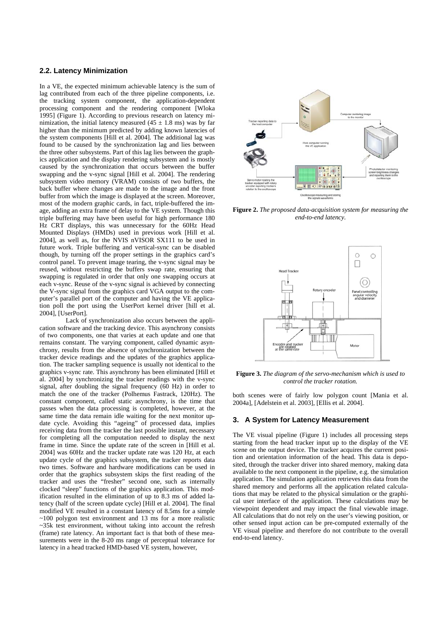# **2.2. Latency Minimization**

In a VE, the expected minimum achievable latency is the sum of lag contributed from each of the three pipeline components, i.e. the tracking system component, the application-dependent processing component and the rendering component [Wloka 1995] (Figure 1). According to previous research on latency minimization, the initial latency measured (45  $\pm$  1.8 ms) was by far higher than the minimum predicted by adding known latencies of the system components [Hill et al. 2004]. The additional lag was found to be caused by the synchronization lag and lies between the three other subsystems. Part of this lag lies between the graphics application and the display rendering subsystem and is mostly caused by the synchronization that occurs between the buffer swapping and the v-sync signal [Hill et al. 2004]. The rendering subsystem video memory (VRAM) consists of two buffers, the back buffer where changes are made to the image and the front buffer from which the image is displayed at the screen. Moreover, most of the modern graphic cards, in fact, triple-buffered the image, adding an extra frame of delay to the VE system. Though this triple buffering may have been useful for high performance 180 Hz CRT displays, this was unnecessary for the 60Hz Head Mounted Displays (HMDs) used in previous work [Hill et al. 2004], as well as, for the NVIS nVISOR SX111 to be used in future work. Triple buffering and vertical-sync can be disabled though, by turning off the proper settings in the graphics card's control panel. To prevent image tearing, the v-sync signal may be reused, without restricting the buffers swap rate, ensuring that swapping is regulated in order that only one swapping occurs at each v-sync. Reuse of the v-sync signal is achieved by connecting the V-sync signal from the graphics card VGA output to the computer's parallel port of the computer and having the VE application poll the port using the UserPort kernel driver [hill et al. 2004], [UserPort].

Lack of synchronization also occurs between the application software and the tracking device. This asynchrony consists of two components, one that varies at each update and one that remains constant. The varying component, called dynamic asynchrony, results from the absence of synchronization between the tracker device readings and the updates of the graphics application. The tracker sampling sequence is usually not identical to the graphics v-sync rate. This asynchrony has been eliminated [Hill et al. 2004] by synchronizing the tracker readings with the v-sync signal, after doubling the signal frequency (60 Hz) in order to match the one of the tracker (Polhemus Fastrack, 120Hz). The constant component, called static asynchrony, is the time that passes when the data processing is completed, however, at the same time the data remain idle waiting for the next monitor update cycle. Avoiding this "ageing" of processed data, implies receiving data from the tracker the last possible instant, necessary for completing all the computation needed to display the next frame in time. Since the update rate of the screen in [Hill et al. 2004] was 60Hz and the tracker update rate was 120 Hz, at each update cycle of the graphics subsystem, the tracker reports data two times. Software and hardware modifications can be used in order that the graphics subsystem skips the first reading of the tracker and uses the "fresher" second one, such as internally clocked "sleep" functions of the graphics application. This modification resulted in the elimination of up to 8.3 ms of added latency (half of the screen update cycle) [Hill et al. 2004]. The final modified VE resulted in a constant latency of 8.5ms for a simple  $\sim$ 100 polygon test environment and 13 ms for a more realistic ~35k test environment, without taking into account the refresh (frame) rate latency. An important fact is that both of these measurements were in the 8-20 ms range of perceptual tolerance for latency in a head tracked HMD-based VE system, however,



**Figure 2.** *The proposed data-acquisition system for measuring the end-to-end latency.* 



**Figure 3.** *The diagram of the servo-mechanism which is used to control the tracker rotation.* 

both scenes were of fairly low polygon count [Mania et al. 2004a], [Adelstein et al. 2003], [Ellis et al. 2004].

### **3. A System for Latency Measurement**

The VE visual pipeline (Figure 1) includes all processing steps starting from the head tracker input up to the display of the VE scene on the output device. The tracker acquires the current position and orientation information of the head. This data is deposited, through the tracker driver into shared memory, making data available to the next component in the pipeline, e.g. the simulation application. The simulation application retrieves this data from the shared memory and performs all the application related calculations that may be related to the physical simulation or the graphical user interface of the application. These calculations may be viewpoint dependent and may impact the final viewable image. All calculations that do not rely on the user's viewing position, or other sensed input action can be pre-computed externally of the VE visual pipeline and therefore do not contribute to the overall end-to-end latency.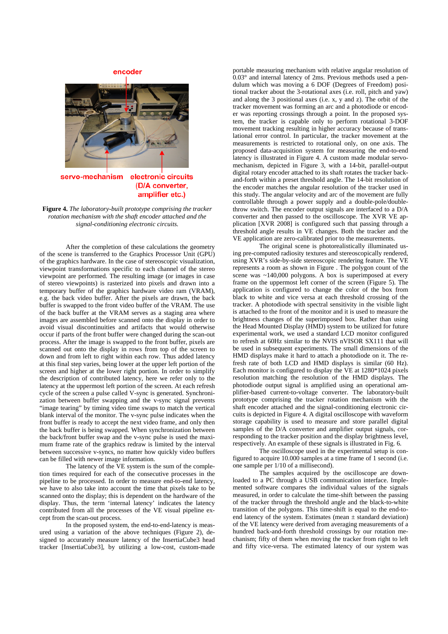encoder



servo-mechanism electronic circuits (D/A converter, amplifier etc.)

**Figure 4.** *The laboratory-built prototype comprising the tracker rotation mechanism with the shaft encoder attached and the signal-conditioning electronic circuits.*

After the completion of these calculations the geometry of the scene is transferred to the Graphics Processor Unit (GPU) of the graphics hardware. In the case of stereoscopic visualization, viewpoint transformations specific to each channel of the stereo viewpoint are performed. The resulting image (or images in case of stereo viewpoints) is rasterized into pixels and drawn into a temporary buffer of the graphics hardware video ram (VRAM), e.g. the back video buffer. After the pixels are drawn, the back buffer is swapped to the front video buffer of the VRAM. The use of the back buffer at the VRAM serves as a staging area where images are assembled before scanned onto the display in order to avoid visual discontinuities and artifacts that would otherwise occur if parts of the front buffer were changed during the scan-out process. After the image is swapped to the front buffer, pixels are scanned out onto the display in rows from top of the screen to down and from left to right within each row. Thus added latency at this final step varies, being lower at the upper left portion of the screen and higher at the lower right portion. In order to simplify the description of contributed latency, here we refer only to the latency at the uppermost left portion of the screen. At each refresh cycle of the screen a pulse called V-sync is generated. Synchronization between buffer swapping and the v-sync signal prevents "image tearing" by timing video time swaps to match the vertical blank interval of the monitor. The v-sync pulse indicates when the front buffer is ready to accept the next video frame, and only then the back buffer is being swapped. When synchronization between the back/front buffer swap and the v-sync pulse is used the maximum frame rate of the graphics redraw is limited by the interval between successive v-syncs, no matter how quickly video buffers can be filled with newer image information.

The latency of the VE system is the sum of the completion times required for each of the consecutive processes in the pipeline to be processed. In order to measure end-to-end latency, we have to also take into account the time that pixels take to be scanned onto the display; this is dependent on the hardware of the display. Thus, the term 'internal latency' indicates the latency contributed from all the processes of the VE visual pipeline except from the scan-out process.

In the proposed system, the end-to-end-latency is measured using a variation of the above techniques (Figure 2), designed to accurately measure latency of the InsertiaCube3 head tracker [InsertiaCube3], by utilizing a low-cost, custom-made

portable measuring mechanism with relative angular resolution of 0.03° and internal latency of 2ms. Previous methods used a pendulum which was moving a 6 DOF (Degrees of Freedom) positional tracker about the 3-rotational axes (i.e. roll, pitch and yaw) and along the 3 positional axes (i.e. x, y and z). The orbit of the tracker movement was forming an arc and a photodiode or encoder was reporting crossings through a point. In the proposed system, the tracker is capable only to perform rotational 3-DOF movement tracking resulting in higher accuracy because of translational error control. In particular, the tracker movement at the measurements is restricted to rotational only, on one axis. The proposed data-acquisition system for measuring the end-to-end latency is illustrated in Figure 4. A custom made modular servomechanism, depicted in Figure 3, with a 14-bit, parallel-output digital rotary encoder attached to its shaft rotates the tracker backand-forth within a preset threshold angle. The 14-bit resolution of the encoder matches the angular resolution of the tracker used in this study. The angular velocity and arc of the movement are fully controllable through a power supply and a double-pole/doublethrow switch. The encoder output signals are interfaced to a D/A converter and then passed to the oscilloscope. The XVR VE application [XVR 2008] is configured such that passing through a threshold angle results in VE changes. Both the tracker and the VE application are zero-calibrated prior to the measurements.

The original scene is photorealistically illuminated using pre-computed radiosity textures and stereoscopically rendered, using XVR's side-by-side stereoscopic rendering feature. The VE represents a room as shown in Figure . The polygon count of the scene was  $\sim$ 140,000 polygons. A box is superimposed at every frame on the uppermost left corner of the screen (Figure 5). The application is configured to change the color of the box from black to white and vice versa at each threshold crossing of the tracker. A photodiode with spectral sensitivity in the visible light is attached to the front of the monitor and it is used to measure the brightness changes of the superimposed box. Rather than using the Head Mounted Display (HMD) system to be utilized for future experimental work, we used a standard LCD monitor configured to refresh at 60Hz similar to the NVIS nVISOR SX111 that will be used in subsequent experiments. The small dimensions of the HMD displays make it hard to attach a photodiode on it. The refresh rate of both LCD and HMD displays is similar (60 Hz). Each monitor is configured to display the VE at 1280\*1024 pixels resolution matching the resolution of the HMD displays. The photodiode output signal is amplified using an operational amplifier-based current-to-voltage converter. The laboratory-built prototype comprising the tracker rotation mechanism with the shaft encoder attached and the signal-conditioning electronic circuits is depicted in Figure 4. A digital oscilloscope with waveform storage capability is used to measure and store parallel digital samples of the D/A converter and amplifier output signals, corresponding to the tracker position and the display brightness level, respectively. An example of these signals is illustrated in Fig. 6.

The oscilloscope used in the experimental setup is configured to acquire 10.000 samples at a time frame of 1 second (i.e. one sample per 1/10 of a millisecond).

The samples acquired by the oscilloscope are downloaded to a PC through a USB communication interface. Implemented software compares the individual values of the signals measured, in order to calculate the time-shift between the passing of the tracker through the threshold angle and the black-to-white transition of the polygons. This time-shift is equal to the end-toend latency of the system. Estimates (mean  $\pm$  standard deviation) of the VE latency were derived from averaging measurements of a hundred back-and-forth threshold crossings by our rotation mechanism; fifty of them when moving the tracker from right to left and fifty vice-versa. The estimated latency of our system was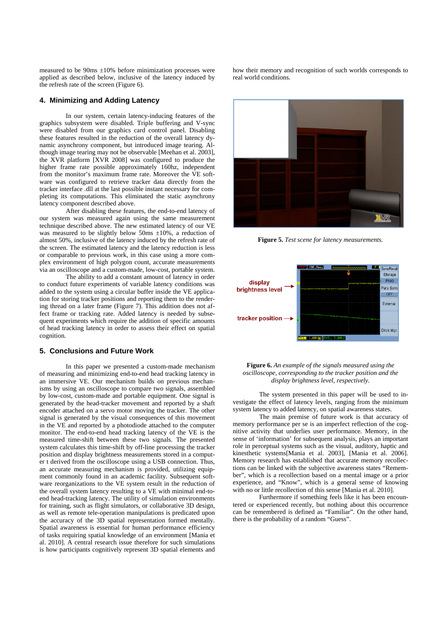measured to be  $90 \text{ms } \pm 10\%$  before minimization processes were applied as described below, inclusive of the latency induced by the refresh rate of the screen (Figure 6).

### **4. Minimizing and Adding Latency**

In our system, certain latency-inducing features of the graphics subsystem were disabled. Triple buffering and V-sync were disabled from our graphics card control panel. Disabling these features resulted in the reduction of the overall latency dynamic asynchrony component, but introduced image tearing. Although image tearing may not be observable [Meehan et al. 2003], the XVR platform [XVR 2008] was configured to produce the higher frame rate possible approximately 160hz, independent from the monitor's maximum frame rate. Moreover the VE software was configured to retrieve tracker data directly from the tracker interface .dll at the last possible instant necessary for completing its computations. This eliminated the static asynchrony latency component described above.

After disabling these features, the end-to-end latency of our system was measured again using the same measurement technique described above. The new estimated latency of our VE was measured to be slightly below 50ms ±10%, a reduction of almost 50%, inclusive of the latency induced by the refresh rate of the screen. The estimated latency and the latency reduction is less or comparable to previous work, in this case using a more complex environment of high polygon count, accurate measurements via an oscilloscope and a custom-made, low-cost, portable system.

The ability to add a constant amount of latency in order to conduct future experiments of variable latency conditions was added to the system using a circular buffer inside the VE application for storing tracker positions and reporting them to the rendering thread on a later frame (Figure 7). This addition does not affect frame or tracking rate. Added latency is needed by subsequent experiments which require the addition of specific amounts of head tracking latency in order to assess their effect on spatial cognition.

### **5. Conclusions and Future Work**

In this paper we presented a custom-made mechanism of measuring and minimizing end-to-end head tracking latency in an immersive VE. Our mechanism builds on previous mechanisms by using an oscilloscope to compare two signals, assembled by low-cost, custom-made and portable equipment. One signal is generated by the head-tracker movement and reported by a shaft encoder attached on a servo motor moving the tracker. The other signal is generated by the visual consequences of this movement in the VE and reported by a photodiode attached to the computer monitor. The end-to-end head tracking latency of the VE is the measured time-shift between these two signals. The presented system calculates this time-shift by off-line processing the tracker position and display brightness measurements stored in a computer t derived from the oscilloscope using a USB connection. Thus, an accurate measuring mechanism is provided, utilizing equipment commonly found in an academic facility. Subsequent software reorganizations to the VE system result in the reduction of the overall system latency resulting to a VE with minimal end-toend head-tracking latency. The utility of simulation environments for training, such as flight simulators, or collaborative 3D design, as well as remote tele-operation manipulations is predicated upon the accuracy of the 3D spatial representation formed mentally. Spatial awareness is essential for human performance efficiency of tasks requiring spatial knowledge of an environment [Mania et al. 2010]. A central research issue therefore for such simulations is how participants cognitively represent 3D spatial elements and

how their memory and recognition of such worlds corresponds to real world conditions.



**Figure 5.** *Test scene for latency measurements.*





The system presented in this paper will be used to investigate the effect of latency levels, ranging from the minimum system latency to added latency, on spatial awareness states.

The main premise of future work is that accuracy of memory performance per se is an imperfect reflection of the cognitive activity that underlies user performance. Memory, in the sense of 'information' for subsequent analysis, plays an important role in perceptual systems such as the visual, auditory, haptic and kinesthetic systems[Mania et al. 2003], [Mania et al. 2006]. Memory research has established that accurate memory recollections can be linked with the subjective awareness states "Remember", which is a recollection based on a mental image or a prior experience, and "Know", which is a general sense of knowing with no or little recollection of this sense [Mania et al. 2010].

Furthermore if something feels like it has been encountered or experienced recently, but nothing about this occurrence can be remembered is defined as "Familiar". On the other hand, there is the probability of a random "Guess".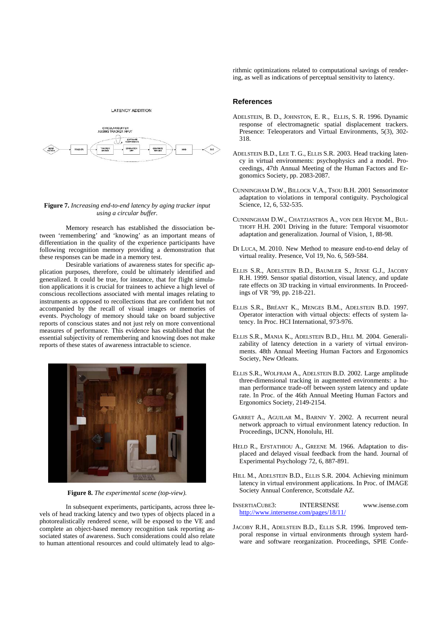

### **Figure 7.** *Increasing end-to-end latency by aging tracker input using a circular buffer.*

Memory research has established the dissociation between 'remembering' and 'knowing' as an important means of differentiation in the quality of the experience participants have following recognition memory providing a demonstration that these responses can be made in a memory test.

Desirable variations of awareness states for specific application purposes, therefore, could be ultimately identified and generalized. It could be true, for instance, that for flight simulation applications it is crucial for trainees to achieve a high level of conscious recollections associated with mental images relating to instruments as opposed to recollections that are confident but not accompanied by the recall of visual images or memories of events. Psychology of memory should take on board subjective reports of conscious states and not just rely on more conventional measures of performance. This evidence has established that the essential subjectivity of remembering and knowing does not make reports of these states of awareness intractable to science.



**Figure 8.** *The experimental scene (top-view).*

In subsequent experiments, participants, across three levels of head tracking latency and two types of objects placed in a photorealistically rendered scene, will be exposed to the VE and complete an object-based memory recognition task reporting associated states of awareness. Such considerations could also relate to human attentional resources and could ultimately lead to algorithmic optimizations related to computational savings of rendering, as well as indications of perceptual sensitivity to latency.

### **References**

- ADELSTEIN, B. D., JOHNSTON, E. R., ELLIS, S. R. 1996. Dynamic response of electromagnetic spatial displacement trackers. Presence: Teleoperators and Virtual Environments, 5(3), 302-318.
- ADELSTEIN B.D., LEE T. G., ELLIS S.R. 2003. Head tracking latency in virtual environments: psychophysics and a model. Proceedings, 47th Annual Meeting of the Human Factors and Ergonomics Society, pp. 2083-2087.
- CUNNINGHAM D.W., BILLOCK V.A., TSOU B.H. 2001 Sensorimotor adaptation to violations in temporal contiguity. Psychological Science, 12, 6, 532-535.
- CUNNINGHAM D.W., CHATZIASTROS A., VON DER HEYDE M., BUL-THOFF H.H. 2001 Driving in the future: Temporal visuomotor adaptation and generalization. Journal of Vision, 1, 88-98.
- DI LUCA, M. 2010. New Method to measure end-to-end delay of virtual reality. Presence, Vol 19, No. 6, 569-584.
- ELLIS S.R., ADELSTEIN B.D., BAUMLER S., JENSE G.J., JACOBY R.H. 1999. Sensor spatial distortion, visual latency, and update rate effects on 3D tracking in virtual environments. In Proceedings of VR '99, pp. 218-221.
- ELLIS S.R., BRÉANT K., MENGES B.M., ADELSTEIN B.D. 1997. Operator interaction with virtual objects: effects of system latency. In Proc. HCI International, 973-976.
- ELLIS S.R., MANIA K., ADELSTEIN B.D., HILL M. 2004. Generalizability of latency detection in a variety of virtual environments. 48th Annual Meeting Human Factors and Ergonomics Society, New Orleans.
- ELLIS S.R., WOLFRAM A., ADELSTEIN B.D. 2002. Large amplitude three-dimensional tracking in augmented environments: a human performance trade-off between system latency and update rate. In Proc. of the 46th Annual Meeting Human Factors and Ergonomics Society, 2149-2154.
- GARRET A., AGUILAR M., BARNIV Y. 2002. A recurrent neural network approach to virtual environment latency reduction. In Proceedings, IJCNN, Honolulu, HI.
- HELD R., EFSTATHIOU A., GREENE M. 1966. Adaptation to displaced and delayed visual feedback from the hand. Journal of Experimental Psychology 72, 6, 887-891.
- HILL M., ADELSTEIN B.D., ELLIS S.R. 2004. Achieving minimum latency in virtual environment applications. In Proc. of IMAGE Society Annual Conference, Scottsdale AZ.
- INSERTIACUBE3: INTERSENSE www.isense.com http://www.intersense.com/pages/18/11/
- JACOBY R.H., ADELSTEIN B.D., ELLIS S.R. 1996. Improved temporal response in virtual environments through system hardware and software reorganization. Proceedings, SPIE Confe-